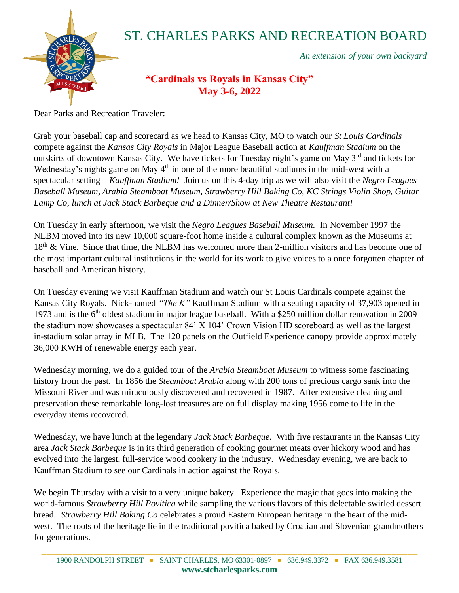

## ST. CHARLES PARKS AND RECREATION BOARD

*An extension of your own backyard*

## **"Cardinals vs Royals in Kansas City" May 3-6, 2022**

Dear Parks and Recreation Traveler:

Grab your baseball cap and scorecard as we head to Kansas City, MO to watch our *St Louis Cardinals* compete against the *Kansas City Royals* in Major League Baseball action at *Kauffman Stadium* on the outskirts of downtown Kansas City. We have tickets for Tuesday night's game on May 3<sup>rd</sup> and tickets for Wednesday's nights game on May 4<sup>th</sup> in one of the more beautiful stadiums in the mid-west with a spectacular setting—*Kauffman Stadium!* Join us on this 4-day trip as we will also visit the *Negro Leagues Baseball Museum, Arabia Steamboat Museum, Strawberry Hill Baking Co, KC Strings Violin Shop, Guitar Lamp Co, lunch at Jack Stack Barbeque and a Dinner/Show at New Theatre Restaurant!*

On Tuesday in early afternoon, we visit the *Negro Leagues Baseball Museum.* In November 1997 the NLBM moved into its new 10,000 square-foot home inside a cultural complex known as the Museums at 18<sup>th</sup> & Vine. Since that time, the NLBM has welcomed more than 2-million visitors and has become one of the most important cultural institutions in the world for its work to give voices to a once forgotten chapter of baseball and American history.

On Tuesday evening we visit Kauffman Stadium and watch our St Louis Cardinals compete against the Kansas City Royals. Nick-named *"The K"* Kauffman Stadium with a seating capacity of 37,903 opened in 1973 and is the 6<sup>th</sup> oldest stadium in major league baseball. With a \$250 million dollar renovation in 2009 the stadium now showcases a spectacular 84' X 104' Crown Vision HD scoreboard as well as the largest in-stadium solar array in MLB. The 120 panels on the Outfield Experience canopy provide approximately 36,000 KWH of renewable energy each year.

Wednesday morning, we do a guided tour of the *Arabia Steamboat Museum* to witness some fascinating history from the past. In 1856 the *Steamboat Arabia* along with 200 tons of precious cargo sank into the Missouri River and was miraculously discovered and recovered in 1987. After extensive cleaning and preservation these remarkable long-lost treasures are on full display making 1956 come to life in the everyday items recovered.

Wednesday, we have lunch at the legendary *Jack Stack Barbeque.* With five restaurants in the Kansas City area *Jack Stack Barbeque* is in its third generation of cooking gourmet meats over hickory wood and has evolved into the largest, full-service wood cookery in the industry. Wednesday evening, we are back to Kauffman Stadium to see our Cardinals in action against the Royals.

We begin Thursday with a visit to a very unique bakery. Experience the magic that goes into making the world-famous *Strawberry Hill Povitica* while sampling the various flavors of this delectable swirled dessert bread. *Strawberry Hill Baking Co* celebrates a proud Eastern European heritage in the heart of the midwest. The roots of the heritage lie in the traditional povitica baked by Croatian and Slovenian grandmothers for generations.